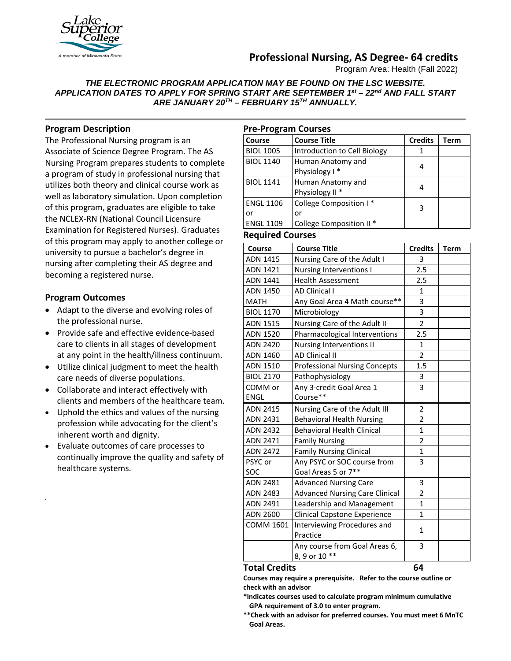

# **Professional Nursing, AS Degree- 64 credits**

Program Area: Health (Fall 2022)

*THE ELECTRONIC PROGRAM APPLICATION MAY BE FOUND ON THE LSC WEBSITE. APPLICATION DATES TO APPLY FOR SPRING START ARE SEPTEMBER 1st – 22nd AND FALL START ARE JANUARY 20TH – FEBRUARY 15TH ANNUALLY.*

## **Program Description**

The Professional Nursing program is an Associate of Science Degree Program. The AS Nursing Program prepares students to complete a program of study in professional nursing that utilizes both theory and clinical course work as well as laboratory simulation. Upon completion of this program, graduates are eligible to take the NCLEX-RN (National Council Licensure Examination for Registered Nurses). Graduates of this program may apply to another college or university to pursue a bachelor's degree in nursing after completing their AS degree and becoming a registered nurse.

## **Program Outcomes**

*.*

- Adapt to the diverse and evolving roles of the professional nurse.
- Provide safe and effective evidence-based care to clients in all stages of development at any point in the health/illness continuum.
- Utilize clinical judgment to meet the health care needs of diverse populations.
- Collaborate and interact effectively with clients and members of the healthcare team.
- Uphold the ethics and values of the nursing profession while advocating for the client's inherent worth and dignity.
- Evaluate outcomes of care processes to continually improve the quality and safety of healthcare systems.

| <b>Pre-Program Courses</b> |                                     |                |      |  |  |
|----------------------------|-------------------------------------|----------------|------|--|--|
| l Course                   | <b>Course Title</b>                 | <b>Credits</b> | Term |  |  |
| <b>BIOL 1005</b>           | Introduction to Cell Biology        |                |      |  |  |
| <b>BIOL 1140</b>           | Human Anatomy and                   | 4              |      |  |  |
|                            | Physiology I*                       |                |      |  |  |
| <b>BIOL 1141</b>           | Human Anatomy and                   | 4              |      |  |  |
|                            | Physiology II <sup>*</sup>          |                |      |  |  |
| <b>ENGL 1106</b>           | College Composition I*              | 3              |      |  |  |
| or                         | or                                  |                |      |  |  |
| <b>ENGL 1109</b>           | College Composition II <sup>*</sup> |                |      |  |  |

### **Required Courses**

| Course           | <b>Course Title</b>                   | <b>Credits</b> | <b>Term</b> |
|------------------|---------------------------------------|----------------|-------------|
| <b>ADN 1415</b>  | Nursing Care of the Adult I           | 3              |             |
| ADN 1421         | Nursing Interventions I               | 2.5            |             |
| ADN 1441         | <b>Health Assessment</b>              | 2.5            |             |
| ADN 1450         | <b>AD Clinical I</b>                  | 1              |             |
| <b>MATH</b>      | Any Goal Area 4 Math course**         | 3              |             |
| <b>BIOL 1170</b> | Microbiology                          | 3              |             |
| <b>ADN 1515</b>  | Nursing Care of the Adult II          | $\overline{2}$ |             |
| ADN 1520         | Pharmacological Interventions         | 2.5            |             |
| <b>ADN 2420</b>  | Nursing Interventions II              | 1              |             |
| ADN 1460         | <b>AD Clinical II</b>                 | $\overline{2}$ |             |
| ADN 1510         | <b>Professional Nursing Concepts</b>  | 1.5            |             |
| <b>BIOL 2170</b> | Pathophysiology                       | 3              |             |
| COMM or          | Any 3-credit Goal Area 1              | 3              |             |
| <b>ENGL</b>      | Course**                              |                |             |
| <b>ADN 2415</b>  | Nursing Care of the Adult III         | $\overline{2}$ |             |
| ADN 2431         | <b>Behavioral Health Nursing</b>      | $\overline{2}$ |             |
| <b>ADN 2432</b>  | <b>Behavioral Health Clinical</b>     | $\mathbf{1}$   |             |
| <b>ADN 2471</b>  | <b>Family Nursing</b>                 | $\overline{2}$ |             |
| <b>ADN 2472</b>  | <b>Family Nursing Clinical</b>        | $\mathbf 1$    |             |
| PSYC or          | Any PSYC or SOC course from           | 3              |             |
| SOC              | Goal Areas 5 or 7**                   |                |             |
| <b>ADN 2481</b>  | <b>Advanced Nursing Care</b>          | 3              |             |
| <b>ADN 2483</b>  | <b>Advanced Nursing Care Clinical</b> | $\overline{2}$ |             |
| ADN 2491         | Leadership and Management             | 1              |             |
| <b>ADN 2600</b>  | <b>Clinical Capstone Experience</b>   | 1              |             |
| <b>COMM 1601</b> | Interviewing Procedures and           | 1              |             |
|                  | Practice                              |                |             |
|                  | Any course from Goal Areas 6,         | 3              |             |
|                  | 8, 9 or 10 **                         |                |             |

#### **Total Credits 64**

**Courses may require a prerequisite. Refer to the course outline or check with an advisor**

**\*Indicates courses used to calculate program minimum cumulative GPA requirement of 3.0 to enter program.**

**\*\*Check with an advisor for preferred courses. You must meet 6 MnTC Goal Areas.**